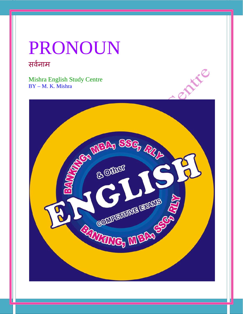# PRONOUN सर्वनाम

Mishra English Study Centre BY – M. K. Mishra

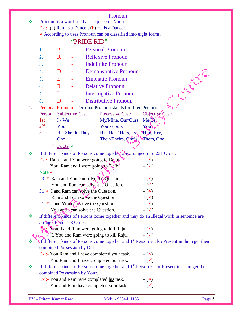#### Pronoun

| ❖  | Pronoun is a word used at the place of Noun.              |                             |                        |                              |                                                                                                   |  |                                                                                                         |
|----|-----------------------------------------------------------|-----------------------------|------------------------|------------------------------|---------------------------------------------------------------------------------------------------|--|---------------------------------------------------------------------------------------------------------|
|    | Ex.:- (a) Ram is a Dancer. (b) $He$ is a Dancer.          |                             |                        |                              |                                                                                                   |  |                                                                                                         |
|    |                                                           |                             |                        |                              | > According to uses Pronoun can be classified into eight forms.                                   |  |                                                                                                         |
|    |                                                           |                             |                        | "PRIDE RID"                  |                                                                                                   |  |                                                                                                         |
|    | 1.                                                        | P                           |                        |                              | <b>Personal Pronoun</b>                                                                           |  |                                                                                                         |
|    | 2.                                                        | $\mathbf R$                 |                        |                              | <b>Reflexive Pronoun</b>                                                                          |  |                                                                                                         |
|    | 3.                                                        | $\bf{I}$                    |                        |                              | <b>Indefinite Pronoun</b>                                                                         |  |                                                                                                         |
|    | 4.                                                        | D                           |                        |                              | <b>Demonstrative Pronoun</b>                                                                      |  |                                                                                                         |
|    | 5.                                                        | Ε                           |                        |                              | <b>Emphatic Pronoun</b>                                                                           |  |                                                                                                         |
|    | 6.                                                        | $\mathbf R$                 |                        |                              | <b>Relative Pronoun</b>                                                                           |  | PARK!                                                                                                   |
|    | 7.                                                        | $\bf{I}$                    |                        |                              | <b>Interrogative Pronoun</b>                                                                      |  |                                                                                                         |
|    | 8.                                                        | D                           |                        |                              | <b>Distributive Pronoun</b>                                                                       |  |                                                                                                         |
| 1. |                                                           |                             |                        |                              | Personal Pronoun - Personal Pronoun stands for three Persons.                                     |  |                                                                                                         |
|    | Person                                                    |                             | <b>Subjective Case</b> |                              | <b>Possessive Case</b>                                                                            |  | Objective Case                                                                                          |
|    | 1st                                                       | $I$ / We                    |                        |                              | My/Mine, Our/Ours                                                                                 |  | Me/Us                                                                                                   |
|    | 2 <sup>nd</sup>                                           | You                         |                        |                              | Your/Yours                                                                                        |  | You                                                                                                     |
|    | 3 <sup>rd</sup>                                           |                             | He, She, It, They      |                              | His, Her / Hers, Its                                                                              |  | Him, Her, It                                                                                            |
|    |                                                           | One                         |                        |                              | Their/Theirs, One's                                                                               |  | Them, One                                                                                               |
|    |                                                           | Facts $\triangleright$<br>* |                        |                              |                                                                                                   |  |                                                                                                         |
| ❖  |                                                           |                             |                        |                              | If different kinds of Persons come together are arranged into 231 Order.                          |  |                                                                                                         |
|    | Ex.:- Ram, I and You were going to Delhi,<br>$-({\bf x})$ |                             |                        |                              |                                                                                                   |  |                                                                                                         |
|    | You, Ram and I were going to Delhi.<br>$-(\checkmark)$    |                             |                        |                              |                                                                                                   |  |                                                                                                         |
|    | Note $-$                                                  |                             |                        |                              |                                                                                                   |  |                                                                                                         |
|    |                                                           |                             |                        |                              | 23 $\blacktriangleright$ Ram and You can solve the Question.                                      |  | $-({\bf x})$                                                                                            |
|    |                                                           |                             |                        |                              | You and Ram can solve the Question.<br>31 $\blacktriangleright$ I and Ram can solve the Question. |  | $-(\checkmark)$                                                                                         |
|    |                                                           |                             |                        |                              | Ram and I can solve the Question.                                                                 |  | $-({\bf x})$<br>$ (\checkmark)$                                                                         |
|    |                                                           |                             |                        |                              | $21 \in I$ and You can solve the Question.                                                        |  | $-({\bf x})$                                                                                            |
|    |                                                           |                             |                        |                              | You and I can solve the Question.                                                                 |  | $-(\checkmark)$                                                                                         |
| ❖  |                                                           |                             |                        |                              |                                                                                                   |  | If different kinds of Persons come together and they do an Illegal work in sentence are                 |
|    | arranged into 123 Order.                                  |                             |                        |                              |                                                                                                   |  |                                                                                                         |
|    |                                                           |                             |                        |                              | <b>Ex.:-</b> You, I and Ram were going to kill Raju. $-(\star)$                                   |  |                                                                                                         |
|    |                                                           |                             |                        |                              | I, You and Ram were going to kill Raju. $-(\checkmark)$                                           |  |                                                                                                         |
| ❖  |                                                           |                             |                        |                              |                                                                                                   |  | If different kinds of Persons come together and $1st$ Person is also Present in them get their          |
|    |                                                           |                             |                        | combined Possession by Our.  |                                                                                                   |  |                                                                                                         |
|    |                                                           |                             |                        |                              | Ex.:- You Ram and I have completed your task. $-(x)$                                              |  |                                                                                                         |
| ❖  |                                                           |                             |                        |                              | You Ram and I have completed <u>our</u> task. $-(\checkmark)$                                     |  | If different kinds of Persons come together and 1 <sup>st</sup> Person is not Present in them get their |
|    |                                                           |                             |                        | combined Possession by Your. |                                                                                                   |  |                                                                                                         |
|    |                                                           |                             |                        |                              | Ex.:- You and Ram have completed his task.                                                        |  | $-({\bf x})$                                                                                            |
|    |                                                           |                             |                        |                              | You and Ram have completed your task.                                                             |  | $ (\checkmark)$                                                                                         |
|    |                                                           |                             |                        |                              |                                                                                                   |  |                                                                                                         |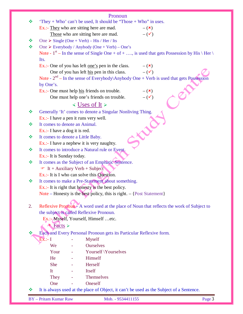|               | Pronoun                                                                                        |
|---------------|------------------------------------------------------------------------------------------------|
| ❖             | 'They + Who' can't be used, It should be "Those + Who" in uses.                                |
|               | $Ex$ .:- They who are sitting here are mad.<br>$-({\bf x})$                                    |
|               | $ (\checkmark)$<br>Those who are sitting here are mad.                                         |
| ❖             | One $\triangleright$ Single (One + Verb) – His / Her / Its                                     |
| $\frac{1}{2}$ | One $\triangleright$ Everybody / Anybody (One + Verb) – One's                                  |
|               | Note - $1st$ – In the sense of Single One + of + , is used that gets Possession by His \ Her \ |
|               | Its.                                                                                           |
|               | Ex.:- One of you has left <u>one's</u> pen in the class. $-(\star)$                            |
|               | One of you has left <u>his</u> pen in this class. $-(\checkmark)$                              |
|               | Note - $2nd$ – In the sense of Everybody\Anybody One + Verb is used that gets Possession       |
|               | by One's.                                                                                      |
|               | $Ex$ .:- One must help $his$ friends on trouble.<br>$-({\bf x})$                               |
|               | $-$ ( $\checkmark$ )<br>One must help one's friends on trouble.                                |
|               | $\triangleleft$ Uses of It $\triangleright$                                                    |
| ❖             | Generally 'It' comes to denote a Singular Nonliving Thing.                                     |
|               | Ex.:- I have a pen it runs very well.                                                          |
| ❖             | It comes to denote an Animal.                                                                  |
|               | Ex.:- I have a dog it is red.                                                                  |
| ❖             | It comes to denote a Little Baby.                                                              |
|               | $Ex.:$ I have a nephew it is very naughty.                                                     |
| ❖             | It comes to introduce a Natural rule or Event.                                                 |
|               | Ex.:- It is Sunday today.                                                                      |
| ❖             | It comes as the Subject of an Emphatic Sentence.                                               |
|               | $\bullet$ It + Auxiliary Verb + Subject                                                        |
|               | $Ex$ .:- It is I who can solve this Question.                                                  |
| ❖             | It comes to make a Pre-Statement about something.                                              |
|               | $Ex$ .:- It is right that honesty is the best policy.                                          |
|               | Note – Honesty is the best policy, this is right. $-$ {Post Statement}                         |
|               |                                                                                                |
| 2.            | Reflexive Pronoun A word used at the place of Noun that reflects the work of Subject to        |
|               | the subject is called Reflexive Pronoun.                                                       |
|               | Ex.:- Myself, Yourself, Himself etc.                                                           |
|               | <b>K</b> Facts                                                                                 |
|               | Each and Every Personal Pronoun gets its Particular Reflexive form.                            |
|               | $Ex. - I$<br><b>Myself</b>                                                                     |
|               | <b>Ourselves</b><br>We                                                                         |
|               | Yourself \Yourselves<br>Your                                                                   |
|               | Himself<br>He                                                                                  |
|               | Herself<br>She                                                                                 |
|               | Itself<br>It                                                                                   |
|               | Themselves<br><b>They</b>                                                                      |
|               | Oneself<br>One                                                                                 |
|               | It is always used at the place of Object, it can't be used as the Subject of a Sentence.       |
|               | <b>BY</b> - Pritam Kumar Raw<br>Page 3<br>Mob. - 9534411155                                    |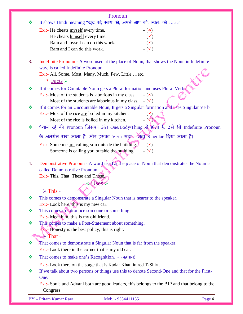|    | Pronoun                                                                                                                        |  |  |  |  |  |
|----|--------------------------------------------------------------------------------------------------------------------------------|--|--|--|--|--|
| ❖  | It shows Hindi meaning "खुद को, स्वयं को, अपने आप को, स्वतः को etc"                                                            |  |  |  |  |  |
|    | Ex.:- He cheats myself every time.<br>$-({\bf x})$                                                                             |  |  |  |  |  |
|    | $-(\checkmark)$<br>He cheats himself every time.                                                                               |  |  |  |  |  |
|    | $-({\bf x})$<br>Ram and myself can do this work.                                                                               |  |  |  |  |  |
|    | $-(\checkmark)$<br>Ram and $\underline{I}$ can do this work.                                                                   |  |  |  |  |  |
| 3. | Indefinite Pronoun - A word used at the place of Noun, that shows the Noun in Indefinite                                       |  |  |  |  |  |
|    | way, is called Indefinite Pronoun.                                                                                             |  |  |  |  |  |
|    | Ex.:- All, Some, Most, Many, Much, Few, Little etc.<br>* Facts $\triangleright$                                                |  |  |  |  |  |
| 參  | If it comes for Countable Noun gets a Plural formation and uses Plural Verba                                                   |  |  |  |  |  |
|    | Ex.:- Most of the students is laborious in my class.<br>$-({\bf x})$                                                           |  |  |  |  |  |
|    | Most of the students <u>are</u> laborious in my class. $-(\checkmark)$                                                         |  |  |  |  |  |
| ❖  | If it comes for an Uncountable Noun, It gets a Singular formation and uses Singular Verb.                                      |  |  |  |  |  |
|    | Ex.:- Most of the rice are boiled in my kitchen.<br>$-({\bf x})$                                                               |  |  |  |  |  |
|    | $-(\sqrt{\mathcal{N}})$<br>Most of the rice is boiled in my kitchen.                                                           |  |  |  |  |  |
| ❖  | ध्यान रहे की Pronoun जिसका अंत One/Body/Thing से होती हैं, उसे भी Indefinite Pronoun                                           |  |  |  |  |  |
|    | के अंतर्गत रखा जाता है, और इसका Verb सद्रा सदा Singular दिया जाता है।                                                          |  |  |  |  |  |
|    | Ex.:- Someone <u>are</u> calling you outside the building.<br>$-({\bf x})$                                                     |  |  |  |  |  |
|    | Someone is calling you outside the building.<br>$-(\checkmark)$                                                                |  |  |  |  |  |
| 4. | Demonstrative Pronoun - A word used at the place of Noun that demonstrates the Noun is                                         |  |  |  |  |  |
|    | called Demonstrative Pronoun.                                                                                                  |  |  |  |  |  |
|    | Ex.:- This, That, These and Those.                                                                                             |  |  |  |  |  |
|    | AUses                                                                                                                          |  |  |  |  |  |
|    | $\triangleright$ This -                                                                                                        |  |  |  |  |  |
| ❖  | This comes to demonstrate a Singular Noun that is nearer to the speaker.                                                       |  |  |  |  |  |
|    | Ex.:- Look here, this is my new car.                                                                                           |  |  |  |  |  |
| ❖  | This comes to introduce someone or something.                                                                                  |  |  |  |  |  |
|    | Ex.:- Meat him, this is my old friend.                                                                                         |  |  |  |  |  |
| 豪  | This comes to make a Post-Statement about something.                                                                           |  |  |  |  |  |
|    | $Ex :=$ Honesty is the best policy, this is right.<br>$\blacktriangleright$ That -                                             |  |  |  |  |  |
| 豪  |                                                                                                                                |  |  |  |  |  |
|    | That comes to demonstrate a Singular Noun that is far from the speaker.<br>$Ex.:$ Look there in the corner that is my old car. |  |  |  |  |  |
| 豪  | That comes to make one's Recognition. - (पहचान)                                                                                |  |  |  |  |  |
|    |                                                                                                                                |  |  |  |  |  |
|    | Ex.:- Look there on the stage that is Kadar Khan in red T-Shirt.                                                               |  |  |  |  |  |
| ❖  | If we talk about two persons or things use this to denote Second-One and that for the First-<br>One.                           |  |  |  |  |  |
|    | Ex.:- Sonia and Advani both are good leaders, this belongs to the BJP and that belong to the                                   |  |  |  |  |  |
|    | Congress.                                                                                                                      |  |  |  |  |  |
|    |                                                                                                                                |  |  |  |  |  |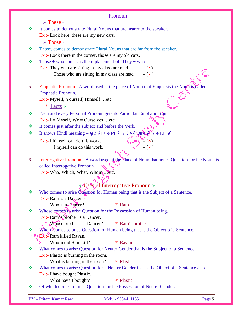|    | Pronoun                                                                                                                 |
|----|-------------------------------------------------------------------------------------------------------------------------|
|    | $\triangleright$ These -                                                                                                |
| ❖  | It comes to demonstrate Plural Nouns that are nearer to the speaker.                                                    |
|    | Ex.:- Look here, these are my new cars.                                                                                 |
|    | $\triangleright$ Those -                                                                                                |
| ❖  | Those, comes to demonstrate Plural Nouns that are far from the speaker.                                                 |
|    | Ex.:- Look there in the corner, those are my old cars.                                                                  |
| ❖  | Those + who comes as the replacement of 'They + who'.                                                                   |
|    | Ex.:- They who are sitting in my class are mad.<br>$-({\bf x})$                                                         |
|    | Those who are sitting in my class are mad.<br>$ (\checkmark)$                                                           |
|    |                                                                                                                         |
| 5. | Emphatic Pronoun - A word used at the place of Noun that Emphasis the Noun is called                                    |
|    | Emphatic Pronoun.                                                                                                       |
|    | Ex.:- Myself, Yourself, Himself etc.                                                                                    |
|    | * Facts $\triangleright$                                                                                                |
| ❖  | Each and every Personal Pronoun gets its Particular Emphatic from.                                                      |
|    | Ex.:- I = Myself, We = Ourselves  etc.                                                                                  |
| ❖  | It comes just after the subject and before the Verb.                                                                    |
| ❖  | It shows Hindi meaning – खुद ही / स्वयं ही / अपने आप ही / स्वतः ही                                                      |
|    | $\mathbb{Z}\left(\mathbf{x}\right)$<br>Ex.:- I himself can do this work.                                                |
|    | $ (\checkmark)$<br>I myself can do this work.                                                                           |
|    |                                                                                                                         |
| 6. | Interrogative Pronoun - A word used at the place of Noun that arises Question for the Noun, is                          |
|    | called Interrogative Pronoun.                                                                                           |
|    | Ex.:- Who, Which, What, Whometc.                                                                                        |
|    |                                                                                                                         |
|    | $\sqrt{V}$ Uses of Interrogative Pronoun >                                                                              |
| ❖  | Who comes to arise Question for Human being that is the Subject of a Sentence.                                          |
|    | Ex.:- Ram is a Dancer.                                                                                                  |
|    | Who is a Dancer?<br><b>☞ Ram</b>                                                                                        |
| ❖  | Whose comes to arise Question for the Possession of Human being.                                                        |
|    | Ex.:- Ram's brother is a Dancer.                                                                                        |
|    | Whose brother is a Dancer?<br><sup>®</sup> Ram's brother                                                                |
| ❖  | Whom comes to arise Question for Human being that is the Object of a Sentence.                                          |
|    | <b>Ex.:</b> Ram killed Ravan.                                                                                           |
|    | Whom did Ram kill?<br><sup>T</sup> Ravan                                                                                |
| ❖  | What comes to arise Question for Neuter Gender that is the Subject of a Sentence.                                       |
|    | $Ex.:$ Plastic is burning in the room.                                                                                  |
|    | What is burning in the room?<br><sup>T</sup> Plastic                                                                    |
| ❖  | What comes to arise Question for a Neuter Gender that is the Object of a Sentence also.<br>Ex.:- I have bought Plastic. |
|    | What have I bought?<br><sup>T</sup> Plastic                                                                             |
| ❖  | Of which comes to arise Question for the Possession of Neuter Gender.                                                   |
|    |                                                                                                                         |
|    | <b>BY</b> - Pritam Kumar Raw<br>Page 5<br>Mob. - 9534411155                                                             |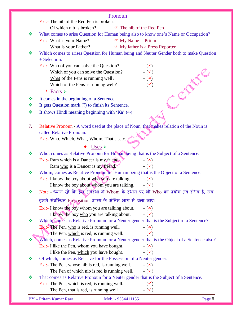| Ex.:- The nib of the Red Pen is broken.<br>Of which nib is broken?<br>The nib of the Red Pen<br>What comes to arise Question for Human being also to know one's Name or Occupation?<br>❖<br>Ex.:- What is your Name?<br>• My Name is Pritam<br>• My father is a Press Reporter<br>What is your Father?<br>Which comes to arises Question for Human being and Neuter Gender both to make Question<br>❖<br>+ Selection.<br>Ex.:- Who of you can solve the Question?<br>$-({\bf x})$<br>Which of you can solve the Question?<br>$-(\checkmark)$<br>$-(x)$<br>What of the Pens is running well?<br>Which of the Pens is running well?<br>$ (\checkmark)$<br>* Facts $\triangleright$<br>It comes in the beginning of a Sentence.<br>❖<br>It gets Question mark (?) to finish its Sentence.<br>≪<br>It shows Hindi meaning beginning with 'Ka' $(\overline{\Phi})$<br>❖<br>Relative Pronoun - A word used at the place of Noun, that makes relation of the Noun is<br>7.<br>called Relative Pronoun.<br>Ex.:- Who, Which, What, Whom, That etc.<br>Uses $\geq$<br>Who, comes as Relative Pronoun for Human being that is the Subject of a Sentence.<br>❖<br>Ex.:- Ram which is a Dancer is my friend.<br>$-({\bf x})$<br>$-(\checkmark)$<br>Ram who is a Dancer is my friend.<br>Whom, comes as Relative Pronoun for Human being that is the Object of a Sentence.<br>❖<br>Ex.:- I know the boy about $w$ ho you are talking.<br>$-({\bf x})$<br>I know the boy about whom you are talking.<br>$-(\checkmark)$<br>Note – ध्यान रहे कि इस अवैस्था मे Whom के स्थान पर भी Who का प्रयोग तब संभव है, जब<br>$\frac{1}{2}$<br>इससे संबन्धित Preposition वाक्य के अंतिम भाग मे चला जाए।<br>Ex.:- I know the boy whom you are talking about.<br>$-({\bf x})$<br>I know the boy <u>who</u> you are talking about. $-(\checkmark)$<br>Which, comes as Relative Pronoun for a Neuter gender that is the Subject of a Sentence?<br>❖<br>$\mathbf{F} \mathbf{x}$ : The Pen, who is red, is running well.<br>$-({\bf x})$<br>The Pen, which is red, is running well.<br>$-(\checkmark)$<br>Which, comes as Relative Pronoun for a Neuter gender that is the Object of a Sentence also?<br>❖<br>$Ex.:$ I like the Pen, whom you have bought.<br>$-({\bf x})$<br>$-(\checkmark)$<br>I like the Pen, which you have bought.<br>Of which, comes as Relative for the Possession of a Neuter gender.<br>❖<br>Ex.:- The Pen, whose nib is red, is running well.<br>$-({\bf x})$<br>The Pen of which nib is red is running well.<br>$-(\checkmark)$<br>That comes as Relative Pronoun for a Neuter gender that is the Subject of a Sentence.<br>❖<br>$Ex$ .:- The Pen, which is red, is running well.<br>$ (\checkmark)$<br>$-(\checkmark)$<br>The Pen, that is red, is running well.<br><b>BY</b> - Pritam Kumar Raw<br>Page 6<br>Mob. - 9534411155 | Pronoun |
|----------------------------------------------------------------------------------------------------------------------------------------------------------------------------------------------------------------------------------------------------------------------------------------------------------------------------------------------------------------------------------------------------------------------------------------------------------------------------------------------------------------------------------------------------------------------------------------------------------------------------------------------------------------------------------------------------------------------------------------------------------------------------------------------------------------------------------------------------------------------------------------------------------------------------------------------------------------------------------------------------------------------------------------------------------------------------------------------------------------------------------------------------------------------------------------------------------------------------------------------------------------------------------------------------------------------------------------------------------------------------------------------------------------------------------------------------------------------------------------------------------------------------------------------------------------------------------------------------------------------------------------------------------------------------------------------------------------------------------------------------------------------------------------------------------------------------------------------------------------------------------------------------------------------------------------------------------------------------------------------------------------------------------------------------------------------------------------------------------------------------------------------------------------------------------------------------------------------------------------------------------------------------------------------------------------------------------------------------------------------------------------------------------------------------------------------------------------------------------------------------------------------------------------------------------------------------------------------------------------------------------------------------------------------------------------------------------------------------------------------------------------------------------------------------------------------------|---------|
|                                                                                                                                                                                                                                                                                                                                                                                                                                                                                                                                                                                                                                                                                                                                                                                                                                                                                                                                                                                                                                                                                                                                                                                                                                                                                                                                                                                                                                                                                                                                                                                                                                                                                                                                                                                                                                                                                                                                                                                                                                                                                                                                                                                                                                                                                                                                                                                                                                                                                                                                                                                                                                                                                                                                                                                                                            |         |
|                                                                                                                                                                                                                                                                                                                                                                                                                                                                                                                                                                                                                                                                                                                                                                                                                                                                                                                                                                                                                                                                                                                                                                                                                                                                                                                                                                                                                                                                                                                                                                                                                                                                                                                                                                                                                                                                                                                                                                                                                                                                                                                                                                                                                                                                                                                                                                                                                                                                                                                                                                                                                                                                                                                                                                                                                            |         |
|                                                                                                                                                                                                                                                                                                                                                                                                                                                                                                                                                                                                                                                                                                                                                                                                                                                                                                                                                                                                                                                                                                                                                                                                                                                                                                                                                                                                                                                                                                                                                                                                                                                                                                                                                                                                                                                                                                                                                                                                                                                                                                                                                                                                                                                                                                                                                                                                                                                                                                                                                                                                                                                                                                                                                                                                                            |         |
|                                                                                                                                                                                                                                                                                                                                                                                                                                                                                                                                                                                                                                                                                                                                                                                                                                                                                                                                                                                                                                                                                                                                                                                                                                                                                                                                                                                                                                                                                                                                                                                                                                                                                                                                                                                                                                                                                                                                                                                                                                                                                                                                                                                                                                                                                                                                                                                                                                                                                                                                                                                                                                                                                                                                                                                                                            |         |
|                                                                                                                                                                                                                                                                                                                                                                                                                                                                                                                                                                                                                                                                                                                                                                                                                                                                                                                                                                                                                                                                                                                                                                                                                                                                                                                                                                                                                                                                                                                                                                                                                                                                                                                                                                                                                                                                                                                                                                                                                                                                                                                                                                                                                                                                                                                                                                                                                                                                                                                                                                                                                                                                                                                                                                                                                            |         |
|                                                                                                                                                                                                                                                                                                                                                                                                                                                                                                                                                                                                                                                                                                                                                                                                                                                                                                                                                                                                                                                                                                                                                                                                                                                                                                                                                                                                                                                                                                                                                                                                                                                                                                                                                                                                                                                                                                                                                                                                                                                                                                                                                                                                                                                                                                                                                                                                                                                                                                                                                                                                                                                                                                                                                                                                                            |         |
|                                                                                                                                                                                                                                                                                                                                                                                                                                                                                                                                                                                                                                                                                                                                                                                                                                                                                                                                                                                                                                                                                                                                                                                                                                                                                                                                                                                                                                                                                                                                                                                                                                                                                                                                                                                                                                                                                                                                                                                                                                                                                                                                                                                                                                                                                                                                                                                                                                                                                                                                                                                                                                                                                                                                                                                                                            |         |
|                                                                                                                                                                                                                                                                                                                                                                                                                                                                                                                                                                                                                                                                                                                                                                                                                                                                                                                                                                                                                                                                                                                                                                                                                                                                                                                                                                                                                                                                                                                                                                                                                                                                                                                                                                                                                                                                                                                                                                                                                                                                                                                                                                                                                                                                                                                                                                                                                                                                                                                                                                                                                                                                                                                                                                                                                            |         |
|                                                                                                                                                                                                                                                                                                                                                                                                                                                                                                                                                                                                                                                                                                                                                                                                                                                                                                                                                                                                                                                                                                                                                                                                                                                                                                                                                                                                                                                                                                                                                                                                                                                                                                                                                                                                                                                                                                                                                                                                                                                                                                                                                                                                                                                                                                                                                                                                                                                                                                                                                                                                                                                                                                                                                                                                                            |         |
|                                                                                                                                                                                                                                                                                                                                                                                                                                                                                                                                                                                                                                                                                                                                                                                                                                                                                                                                                                                                                                                                                                                                                                                                                                                                                                                                                                                                                                                                                                                                                                                                                                                                                                                                                                                                                                                                                                                                                                                                                                                                                                                                                                                                                                                                                                                                                                                                                                                                                                                                                                                                                                                                                                                                                                                                                            |         |
|                                                                                                                                                                                                                                                                                                                                                                                                                                                                                                                                                                                                                                                                                                                                                                                                                                                                                                                                                                                                                                                                                                                                                                                                                                                                                                                                                                                                                                                                                                                                                                                                                                                                                                                                                                                                                                                                                                                                                                                                                                                                                                                                                                                                                                                                                                                                                                                                                                                                                                                                                                                                                                                                                                                                                                                                                            |         |
|                                                                                                                                                                                                                                                                                                                                                                                                                                                                                                                                                                                                                                                                                                                                                                                                                                                                                                                                                                                                                                                                                                                                                                                                                                                                                                                                                                                                                                                                                                                                                                                                                                                                                                                                                                                                                                                                                                                                                                                                                                                                                                                                                                                                                                                                                                                                                                                                                                                                                                                                                                                                                                                                                                                                                                                                                            |         |
|                                                                                                                                                                                                                                                                                                                                                                                                                                                                                                                                                                                                                                                                                                                                                                                                                                                                                                                                                                                                                                                                                                                                                                                                                                                                                                                                                                                                                                                                                                                                                                                                                                                                                                                                                                                                                                                                                                                                                                                                                                                                                                                                                                                                                                                                                                                                                                                                                                                                                                                                                                                                                                                                                                                                                                                                                            |         |
|                                                                                                                                                                                                                                                                                                                                                                                                                                                                                                                                                                                                                                                                                                                                                                                                                                                                                                                                                                                                                                                                                                                                                                                                                                                                                                                                                                                                                                                                                                                                                                                                                                                                                                                                                                                                                                                                                                                                                                                                                                                                                                                                                                                                                                                                                                                                                                                                                                                                                                                                                                                                                                                                                                                                                                                                                            |         |
|                                                                                                                                                                                                                                                                                                                                                                                                                                                                                                                                                                                                                                                                                                                                                                                                                                                                                                                                                                                                                                                                                                                                                                                                                                                                                                                                                                                                                                                                                                                                                                                                                                                                                                                                                                                                                                                                                                                                                                                                                                                                                                                                                                                                                                                                                                                                                                                                                                                                                                                                                                                                                                                                                                                                                                                                                            |         |
|                                                                                                                                                                                                                                                                                                                                                                                                                                                                                                                                                                                                                                                                                                                                                                                                                                                                                                                                                                                                                                                                                                                                                                                                                                                                                                                                                                                                                                                                                                                                                                                                                                                                                                                                                                                                                                                                                                                                                                                                                                                                                                                                                                                                                                                                                                                                                                                                                                                                                                                                                                                                                                                                                                                                                                                                                            |         |
|                                                                                                                                                                                                                                                                                                                                                                                                                                                                                                                                                                                                                                                                                                                                                                                                                                                                                                                                                                                                                                                                                                                                                                                                                                                                                                                                                                                                                                                                                                                                                                                                                                                                                                                                                                                                                                                                                                                                                                                                                                                                                                                                                                                                                                                                                                                                                                                                                                                                                                                                                                                                                                                                                                                                                                                                                            |         |
|                                                                                                                                                                                                                                                                                                                                                                                                                                                                                                                                                                                                                                                                                                                                                                                                                                                                                                                                                                                                                                                                                                                                                                                                                                                                                                                                                                                                                                                                                                                                                                                                                                                                                                                                                                                                                                                                                                                                                                                                                                                                                                                                                                                                                                                                                                                                                                                                                                                                                                                                                                                                                                                                                                                                                                                                                            |         |
|                                                                                                                                                                                                                                                                                                                                                                                                                                                                                                                                                                                                                                                                                                                                                                                                                                                                                                                                                                                                                                                                                                                                                                                                                                                                                                                                                                                                                                                                                                                                                                                                                                                                                                                                                                                                                                                                                                                                                                                                                                                                                                                                                                                                                                                                                                                                                                                                                                                                                                                                                                                                                                                                                                                                                                                                                            |         |
|                                                                                                                                                                                                                                                                                                                                                                                                                                                                                                                                                                                                                                                                                                                                                                                                                                                                                                                                                                                                                                                                                                                                                                                                                                                                                                                                                                                                                                                                                                                                                                                                                                                                                                                                                                                                                                                                                                                                                                                                                                                                                                                                                                                                                                                                                                                                                                                                                                                                                                                                                                                                                                                                                                                                                                                                                            |         |
|                                                                                                                                                                                                                                                                                                                                                                                                                                                                                                                                                                                                                                                                                                                                                                                                                                                                                                                                                                                                                                                                                                                                                                                                                                                                                                                                                                                                                                                                                                                                                                                                                                                                                                                                                                                                                                                                                                                                                                                                                                                                                                                                                                                                                                                                                                                                                                                                                                                                                                                                                                                                                                                                                                                                                                                                                            |         |
|                                                                                                                                                                                                                                                                                                                                                                                                                                                                                                                                                                                                                                                                                                                                                                                                                                                                                                                                                                                                                                                                                                                                                                                                                                                                                                                                                                                                                                                                                                                                                                                                                                                                                                                                                                                                                                                                                                                                                                                                                                                                                                                                                                                                                                                                                                                                                                                                                                                                                                                                                                                                                                                                                                                                                                                                                            |         |
|                                                                                                                                                                                                                                                                                                                                                                                                                                                                                                                                                                                                                                                                                                                                                                                                                                                                                                                                                                                                                                                                                                                                                                                                                                                                                                                                                                                                                                                                                                                                                                                                                                                                                                                                                                                                                                                                                                                                                                                                                                                                                                                                                                                                                                                                                                                                                                                                                                                                                                                                                                                                                                                                                                                                                                                                                            |         |
|                                                                                                                                                                                                                                                                                                                                                                                                                                                                                                                                                                                                                                                                                                                                                                                                                                                                                                                                                                                                                                                                                                                                                                                                                                                                                                                                                                                                                                                                                                                                                                                                                                                                                                                                                                                                                                                                                                                                                                                                                                                                                                                                                                                                                                                                                                                                                                                                                                                                                                                                                                                                                                                                                                                                                                                                                            |         |
|                                                                                                                                                                                                                                                                                                                                                                                                                                                                                                                                                                                                                                                                                                                                                                                                                                                                                                                                                                                                                                                                                                                                                                                                                                                                                                                                                                                                                                                                                                                                                                                                                                                                                                                                                                                                                                                                                                                                                                                                                                                                                                                                                                                                                                                                                                                                                                                                                                                                                                                                                                                                                                                                                                                                                                                                                            |         |
|                                                                                                                                                                                                                                                                                                                                                                                                                                                                                                                                                                                                                                                                                                                                                                                                                                                                                                                                                                                                                                                                                                                                                                                                                                                                                                                                                                                                                                                                                                                                                                                                                                                                                                                                                                                                                                                                                                                                                                                                                                                                                                                                                                                                                                                                                                                                                                                                                                                                                                                                                                                                                                                                                                                                                                                                                            |         |
|                                                                                                                                                                                                                                                                                                                                                                                                                                                                                                                                                                                                                                                                                                                                                                                                                                                                                                                                                                                                                                                                                                                                                                                                                                                                                                                                                                                                                                                                                                                                                                                                                                                                                                                                                                                                                                                                                                                                                                                                                                                                                                                                                                                                                                                                                                                                                                                                                                                                                                                                                                                                                                                                                                                                                                                                                            |         |
|                                                                                                                                                                                                                                                                                                                                                                                                                                                                                                                                                                                                                                                                                                                                                                                                                                                                                                                                                                                                                                                                                                                                                                                                                                                                                                                                                                                                                                                                                                                                                                                                                                                                                                                                                                                                                                                                                                                                                                                                                                                                                                                                                                                                                                                                                                                                                                                                                                                                                                                                                                                                                                                                                                                                                                                                                            |         |
|                                                                                                                                                                                                                                                                                                                                                                                                                                                                                                                                                                                                                                                                                                                                                                                                                                                                                                                                                                                                                                                                                                                                                                                                                                                                                                                                                                                                                                                                                                                                                                                                                                                                                                                                                                                                                                                                                                                                                                                                                                                                                                                                                                                                                                                                                                                                                                                                                                                                                                                                                                                                                                                                                                                                                                                                                            |         |
|                                                                                                                                                                                                                                                                                                                                                                                                                                                                                                                                                                                                                                                                                                                                                                                                                                                                                                                                                                                                                                                                                                                                                                                                                                                                                                                                                                                                                                                                                                                                                                                                                                                                                                                                                                                                                                                                                                                                                                                                                                                                                                                                                                                                                                                                                                                                                                                                                                                                                                                                                                                                                                                                                                                                                                                                                            |         |
|                                                                                                                                                                                                                                                                                                                                                                                                                                                                                                                                                                                                                                                                                                                                                                                                                                                                                                                                                                                                                                                                                                                                                                                                                                                                                                                                                                                                                                                                                                                                                                                                                                                                                                                                                                                                                                                                                                                                                                                                                                                                                                                                                                                                                                                                                                                                                                                                                                                                                                                                                                                                                                                                                                                                                                                                                            |         |
|                                                                                                                                                                                                                                                                                                                                                                                                                                                                                                                                                                                                                                                                                                                                                                                                                                                                                                                                                                                                                                                                                                                                                                                                                                                                                                                                                                                                                                                                                                                                                                                                                                                                                                                                                                                                                                                                                                                                                                                                                                                                                                                                                                                                                                                                                                                                                                                                                                                                                                                                                                                                                                                                                                                                                                                                                            |         |
|                                                                                                                                                                                                                                                                                                                                                                                                                                                                                                                                                                                                                                                                                                                                                                                                                                                                                                                                                                                                                                                                                                                                                                                                                                                                                                                                                                                                                                                                                                                                                                                                                                                                                                                                                                                                                                                                                                                                                                                                                                                                                                                                                                                                                                                                                                                                                                                                                                                                                                                                                                                                                                                                                                                                                                                                                            |         |
|                                                                                                                                                                                                                                                                                                                                                                                                                                                                                                                                                                                                                                                                                                                                                                                                                                                                                                                                                                                                                                                                                                                                                                                                                                                                                                                                                                                                                                                                                                                                                                                                                                                                                                                                                                                                                                                                                                                                                                                                                                                                                                                                                                                                                                                                                                                                                                                                                                                                                                                                                                                                                                                                                                                                                                                                                            |         |
|                                                                                                                                                                                                                                                                                                                                                                                                                                                                                                                                                                                                                                                                                                                                                                                                                                                                                                                                                                                                                                                                                                                                                                                                                                                                                                                                                                                                                                                                                                                                                                                                                                                                                                                                                                                                                                                                                                                                                                                                                                                                                                                                                                                                                                                                                                                                                                                                                                                                                                                                                                                                                                                                                                                                                                                                                            |         |
|                                                                                                                                                                                                                                                                                                                                                                                                                                                                                                                                                                                                                                                                                                                                                                                                                                                                                                                                                                                                                                                                                                                                                                                                                                                                                                                                                                                                                                                                                                                                                                                                                                                                                                                                                                                                                                                                                                                                                                                                                                                                                                                                                                                                                                                                                                                                                                                                                                                                                                                                                                                                                                                                                                                                                                                                                            |         |
|                                                                                                                                                                                                                                                                                                                                                                                                                                                                                                                                                                                                                                                                                                                                                                                                                                                                                                                                                                                                                                                                                                                                                                                                                                                                                                                                                                                                                                                                                                                                                                                                                                                                                                                                                                                                                                                                                                                                                                                                                                                                                                                                                                                                                                                                                                                                                                                                                                                                                                                                                                                                                                                                                                                                                                                                                            |         |
|                                                                                                                                                                                                                                                                                                                                                                                                                                                                                                                                                                                                                                                                                                                                                                                                                                                                                                                                                                                                                                                                                                                                                                                                                                                                                                                                                                                                                                                                                                                                                                                                                                                                                                                                                                                                                                                                                                                                                                                                                                                                                                                                                                                                                                                                                                                                                                                                                                                                                                                                                                                                                                                                                                                                                                                                                            |         |
|                                                                                                                                                                                                                                                                                                                                                                                                                                                                                                                                                                                                                                                                                                                                                                                                                                                                                                                                                                                                                                                                                                                                                                                                                                                                                                                                                                                                                                                                                                                                                                                                                                                                                                                                                                                                                                                                                                                                                                                                                                                                                                                                                                                                                                                                                                                                                                                                                                                                                                                                                                                                                                                                                                                                                                                                                            |         |
|                                                                                                                                                                                                                                                                                                                                                                                                                                                                                                                                                                                                                                                                                                                                                                                                                                                                                                                                                                                                                                                                                                                                                                                                                                                                                                                                                                                                                                                                                                                                                                                                                                                                                                                                                                                                                                                                                                                                                                                                                                                                                                                                                                                                                                                                                                                                                                                                                                                                                                                                                                                                                                                                                                                                                                                                                            |         |
|                                                                                                                                                                                                                                                                                                                                                                                                                                                                                                                                                                                                                                                                                                                                                                                                                                                                                                                                                                                                                                                                                                                                                                                                                                                                                                                                                                                                                                                                                                                                                                                                                                                                                                                                                                                                                                                                                                                                                                                                                                                                                                                                                                                                                                                                                                                                                                                                                                                                                                                                                                                                                                                                                                                                                                                                                            |         |
|                                                                                                                                                                                                                                                                                                                                                                                                                                                                                                                                                                                                                                                                                                                                                                                                                                                                                                                                                                                                                                                                                                                                                                                                                                                                                                                                                                                                                                                                                                                                                                                                                                                                                                                                                                                                                                                                                                                                                                                                                                                                                                                                                                                                                                                                                                                                                                                                                                                                                                                                                                                                                                                                                                                                                                                                                            |         |
|                                                                                                                                                                                                                                                                                                                                                                                                                                                                                                                                                                                                                                                                                                                                                                                                                                                                                                                                                                                                                                                                                                                                                                                                                                                                                                                                                                                                                                                                                                                                                                                                                                                                                                                                                                                                                                                                                                                                                                                                                                                                                                                                                                                                                                                                                                                                                                                                                                                                                                                                                                                                                                                                                                                                                                                                                            |         |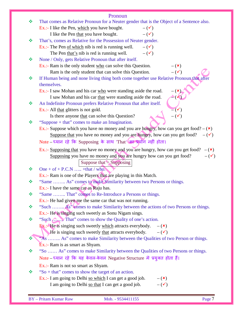|               | Pronoun                                                                                          |
|---------------|--------------------------------------------------------------------------------------------------|
| ❖             | That comes as Relative Pronoun for a Neuter gender that is the Object of a Sentence also.        |
|               | Ex.:- I like the Pen, which you have bought.<br>$-(\checkmark)$                                  |
|               | $ (\checkmark)$<br>I like the Pen that you have bought.                                          |
| ❖             | That's, comes as Relative for the Possession of Neuter gender.                                   |
|               | Ex.:- The Pen of which nib is red is running well.<br>$-(\checkmark)$                            |
|               | The Pen that's nib is red is running well.<br>$-(\checkmark)$                                    |
| ❖             | None / Only, gets Relative Pronoun that after itself.                                            |
|               | $Ex.:$ Ram is the only student who can solve this Question.<br>$-(\mathbf{x})$                   |
|               | $-$ ( $\checkmark$ )<br>Ram is the only student that can solve this Question.                    |
| ❖             | If Human being and none living thing both come together use Relative Pronoun that after          |
|               | themselves.                                                                                      |
|               | $ (\star)$<br>Ex.:- I saw Mohan and his car who were standing aside the road.                    |
|               | I saw Mohan and his car that were standing aside the road.<br>$\triangleleft$ (K)                |
| ❖             | An Indefinite Pronoun prefers Relative Pronoun that after itself.                                |
|               | $\overline{-(}\checkmark)$<br>Ex.:- All that glitters is not gold.                               |
|               | $-(\checkmark)$<br>Is there anyone that can solve this Question?                                 |
| ❖             | "Suppose + that" comes to make an Imagination.                                                   |
|               | Ex.:- Suppose which you have no money and you are hungry, how can you get food? $-(\star)$       |
|               | Suppose that you have no money and you are hungry, how can you get food?<br>$-(\checkmark)$      |
|               | Note - ध्यान रहे कि Supposing के साथ 'That' का प्रयोग नहीं होता।                                 |
|               | Ex.:- Supposing that you have no money and you are hungry, how can you get food?<br>$-({\bf x})$ |
|               | $-(\checkmark)$<br>Supposing you have no money and you are hungry how can you get food?          |
|               | Suppose that $=$ Supposing                                                                       |
| 豪             | One + of + P.C.N  +that / who.                                                                   |
|               | Ex.:- Ram is one of the Players that are playing in this Match.                                  |
| 豪             | "Same  As" comes to make Similarity between two Persons or things.                               |
|               | Ex.:- I have the same car as Raju has.                                                           |
| $\frac{1}{2}$ | "Same  That" comes to Re-Introduce a Persons or things.                                          |
|               | $Ex.$ :- He had given me the same car that was not running.                                      |
| ❖             | "Such  As" comes to make Similarity between the actions of two Persons or things.                |
|               | Ex.:- He is singing such sweetly as Sonu Nigam sings.                                            |
| ❖             |                                                                                                  |
|               | $\overline{B}x$ : He is singing such sweetly <u>which</u> attracts everybody. $-(x)$             |
|               | He is singing such sweetly that attracts everybody.<br>$-(\checkmark)$                           |
|               | "As  As" comes to make Similarity between the Qualities of two Person or things.                 |
|               | $Ex.:$ Ram is as smart as Shyam.                                                                 |
| ❖             | "So  As" comes to make Similarity between the Qualities of two Persons or things.                |
|               | Note – ध्यान रहे कि यह केवल-केवल Negative Structure मे प्रयुक्त होता हैं।                        |
|               | Ex.:- Ram is not so smart as Shyam.                                                              |
| ❖             | "So + that" comes to show the target of an action.                                               |
|               | Ex.:- I am going to Delhi so which I can get a good job.<br>$-({\bf x})$                         |
|               | $-$ ( $\checkmark$ )<br>I am going to Delhi so that I can get a good job.                        |
|               |                                                                                                  |
|               |                                                                                                  |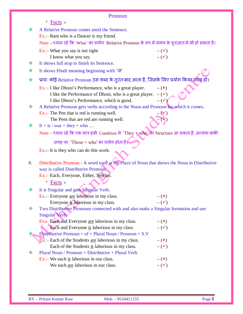| Pronoun |                                                                                                   |                      |  |  |  |  |
|---------|---------------------------------------------------------------------------------------------------|----------------------|--|--|--|--|
|         | * Facts $\triangleright$                                                                          |                      |  |  |  |  |
| 豪       | A Relative Pronoun comes amid the Sentence.                                                       |                      |  |  |  |  |
|         | Ex.:- Ram who is a Dancer is my friend.                                                           |                      |  |  |  |  |
|         | Note – ध्यान रहे कि 'What' का प्रयोग Relative Pronoun के रूप मे वाक्य के शुरुआत मे भी हो सकता है। |                      |  |  |  |  |
|         | Ex.:- What you say is not right.                                                                  | $-(\checkmark)$      |  |  |  |  |
|         | I know what you say.                                                                              | $-(\checkmark)$      |  |  |  |  |
| ❖       | It shows full stop to finish its Sentence.                                                        |                      |  |  |  |  |
| ❖       | It shows Hindi meaning beginning with 'ज'                                                         |                      |  |  |  |  |
| ❖       | प्रायः कोई Relative Pronoun उस शब्द के तुरंत बाद आता है, जिसके लिए प्रयोग किया जाता हो।           |                      |  |  |  |  |
|         | Ex.:- I like Dhoni's Performance, who is a great player.                                          | $-({\bf x})$         |  |  |  |  |
|         | I like the Performance of Dhoni, who is a great player. $-(\checkmark)$                           |                      |  |  |  |  |
|         | I like Dhoni's Performance, which is good.                                                        | $-$ ( $\checkmark$ ) |  |  |  |  |
| ❖       | A Relative Pronoun gets verbs according to the Noun and Pronoun for which it comes.               |                      |  |  |  |  |
|         | Ex.:- The Pen that is red is running well.                                                        |                      |  |  |  |  |
|         | The Pens that are red are running well.                                                           |                      |  |  |  |  |
| ❖       | It + is / was + they + who                                                                        |                      |  |  |  |  |
|         | Note – ध्यान रहे कि एक मात्र इसी Condition में 'They + who' का Structure आ सकता है, अन्यथा बांकी  |                      |  |  |  |  |
|         | जगह पर 'Those + who' का प्रयोग होता है।                                                           |                      |  |  |  |  |
|         | $Ex$ .:- It is they who can do this work.                                                         |                      |  |  |  |  |
| 8.      | Distributive Pronoun - A word used at the Place of Noun that shows the Noun in Distributive       |                      |  |  |  |  |
|         | way is called Distributive Pronoun.                                                               |                      |  |  |  |  |
|         | Ex.:- Each, Everyone, Either, Neither.                                                            |                      |  |  |  |  |
|         | * Facts $\triangleright$                                                                          |                      |  |  |  |  |
| ❖       | It is Singular and gets Singular Verb.                                                            |                      |  |  |  |  |
|         | Ex.:- Everyone are laborious in my class.                                                         | $-({\bf x})$         |  |  |  |  |
|         | Everyone is laborious in my class.                                                                | $-(\checkmark)$      |  |  |  |  |
| ❖       | Two Distributive Pronouns connected with and also make a Singular formation and use               |                      |  |  |  |  |
|         | Singular Verb.                                                                                    |                      |  |  |  |  |
|         | Ex. A- Each and Everyone are laborious in my class.                                               | $-({\bf x})$         |  |  |  |  |
|         | Each and Everyone is laborious in my class.                                                       | $-(\checkmark)$      |  |  |  |  |
| ❖       | Distributive Pronoun + of + Plural Noun / Pronoun + $S.V$                                         |                      |  |  |  |  |
|         | Ex.:- Each of the Students are laborious in my class.                                             | $-({\bf x})$         |  |  |  |  |
|         | Each of the Students is laborious in my class.                                                    | $-(\checkmark)$      |  |  |  |  |
| ❖       | Plural Noun / Pronoun + Distributive + Plural Verb.                                               |                      |  |  |  |  |
|         | $Ex.:$ We each is laborious in our class.                                                         | $-({\bf x})$         |  |  |  |  |
|         | We each are laborious in our class.                                                               | $-(\checkmark)$      |  |  |  |  |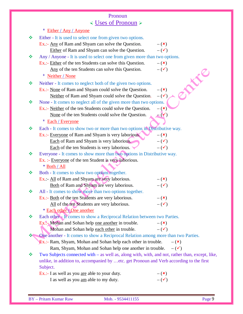### Pronoun Uses of Pronoun

|    | * Either / Any / Anyone                                                                         |                 |
|----|-------------------------------------------------------------------------------------------------|-----------------|
| 榛  | Either - It is used to select one from given two options.                                       |                 |
|    | Ex.:- Any of Ram and Shyam can solve the Question.                                              | $-({\bf x})$    |
|    | Either of Ram and Shyam can solve the Question.                                                 | $-(\checkmark)$ |
| 榛  | Any / Anyone - It is used to select one from given more than two options.                       |                 |
|    | Ex.:- Either of the ten Students can solve this Question.                                       | $-({\bf x})$    |
|    | Any of the ten Students can solve this Question.                                                | $-(\checkmark)$ |
|    | * Neither / None                                                                                | EN E            |
| ❖  | Neither - It comes to neglect both of the given two options.                                    |                 |
|    | Ex.:- None of Ram and Shyam could solve the Question.                                           | $-({\bf x})$    |
|    | Neither of Ram and Shyam could solve the Question.                                              | $-(\checkmark)$ |
| ❖  | None - It comes to neglect all of the given more than two options.                              |                 |
|    | Ex.:- Neither of the ten Students could solve the Question.                                     | $-({\bf x})$    |
|    | None of the ten Students could solve the Question.                                              |                 |
|    | * Each / Everyone                                                                               |                 |
| ÷, | Each - It comes to show two or more than two options in Distributive way.                       |                 |
|    | Ex.:- Everyone of Ram and Shyam is very laborious.                                              | $-({\bf x})$    |
|    | Each of Ram and Shyam is very laborious.                                                        | $-(\checkmark)$ |
|    | Each of the ten Students is very laborious.                                                     | $-(\checkmark)$ |
| A. | Everyone - It comes to show more than two options in Distributive way.                          |                 |
|    | Ex. :- Everyone of the ten Student is very laborious.                                           |                 |
|    | * Both / All                                                                                    |                 |
| ×. | Both - It comes to show two options together.                                                   |                 |
|    | Ex.:- All of Ram and Shyam are very laborious.                                                  | $-(\star)$      |
|    | Both of Ram and Shyam are very laborious.                                                       | $-(\checkmark)$ |
| ÷, | All - It comes to show more than two options together.                                          |                 |
|    | Ex.:- Both of the ten Students are very laborious.                                              | $-({\bf x})$    |
|    | All of the ten Students are very laborious.                                                     | $ (\checkmark)$ |
|    | * Each other / One another                                                                      |                 |
| 參  | Each other - It comes to show a Reciprocal Relation between two Parties.                        |                 |
|    | Ex.:- Mohan and Sohan help one another in trouble.                                              | $-({\bf x})$    |
|    | Mohan and Sohan help each other in trouble.                                                     | $-(\checkmark)$ |
|    | One another - It comes to show a Reciprocal Relation among more than two Parties.               |                 |
|    | <b>Ex.:- Ram, Shyam, Mohan and Sohan help each other in trouble.</b>                            | $-({\bf x})$    |
|    | Ram, Shyam, Mohan and Sohan help one another in trouble.                                        | $-(\checkmark)$ |
| ÷  | Two Subjects connected with - as well as, along with, with, and not, rather than, except, like, |                 |
|    | unlike, in addition to, accompanied by etc. get Pronoun and Verb according to the first         |                 |
|    | Subject.                                                                                        |                 |
|    | Ex.:- I as well as you are able to your duty.                                                   | $-({\bf x})$    |
|    | I as well as you am able to my duty.                                                            | $-(\checkmark)$ |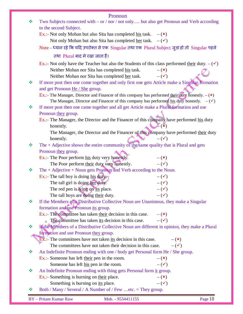|   | Pronoun                                                                                                                      |
|---|------------------------------------------------------------------------------------------------------------------------------|
| ❖ | Two Subjects connected with – or / nor / not only but also get Pronoun and Verb according                                    |
|   | to the second Subject.                                                                                                       |
|   | Ex.:- Not only Mohan but also Sita has completed <u>his</u> task. $-(\star)$                                                 |
|   | Not only Mohan but also Sita has completed <u>her</u> task. $-(\checkmark)$                                                  |
|   | Note – ध्यान रहे कि यदि उपरोक्त से एक Singular तथा एक Plural Subject जुड़ा हो तो Singular पहले                               |
|   | तथा Plural बाद मे रखा जाता हैं।                                                                                              |
|   | Ex.:- Not only have the Teacher but also the Students of this class performed their duty. $-(\checkmark)$                    |
|   | Neither Mohan nor Sita has completed his task.<br>$-({\bf x})$                                                               |
|   | $-(\checkmark)$                                                                                                              |
| ❖ | Neither Mohan nor Sita has completed her task.                                                                               |
|   | If more post then one come together and only first one gets Article make a Singular formation                                |
|   | and get Pronoun He / She group.                                                                                              |
|   | Ex.:- The Manager, Director and Financer of this company has performed their duty honestly. $-(\star)$                       |
| ❖ | The Manager, Director and Financer of this company has performed his duty honestly. $-(\checkmark)$                          |
|   | If more post then one came together and all get Article make a Plural formation and use                                      |
|   | Pronoun they group.                                                                                                          |
|   | Ex.:- The Manager, the Director and the Financer of this company have performed his duty                                     |
|   | $\mathbb{Z}(\mathbf{x})$<br>honestly.                                                                                        |
|   | The Manager, the Director and the Financer of this company have performed their duty                                         |
|   | honestly.<br>$-(\checkmark)$                                                                                                 |
| ❖ | The $+$ Adjective shows the entire community of the same quality that is Plural and gets                                     |
|   | Pronoun they group.                                                                                                          |
|   | Ex.:- The Poor perform his duty very honestly.<br>$-({\bf x})$                                                               |
|   | $-(\checkmark)$<br>The Poor perform their duty very honestly.                                                                |
| ❖ | The $+$ Adjective $+$ Noun gets Pronoun and Verb according to the Noun.                                                      |
|   | Ex.:- The tall boy is doing his duty<br>$-(\checkmark)$<br>$-(\checkmark)$                                                   |
|   | The tall girl is doing her duty.                                                                                             |
|   | The red pen is lying on its place.<br>$-(\checkmark)$<br>$ (\checkmark)$                                                     |
| ❖ | The tall boys are doing their duty.                                                                                          |
|   | If the Members of a Distributive Collective Noun are Unanimous, they make a Singular<br>formation and use Pronoun its group. |
|   | $Ex.$ :- The committee has taken their decision in this case.<br>$-({\bf x})$                                                |
|   | The committee has taken its decision in this case.<br>$-(\checkmark)$                                                        |
| ❖ | If the Members of a Distributive Collective Noun are different in opinion, they make a Plural                                |
|   | formation and use Pronoun they group.                                                                                        |
|   | $Ex$ .:- The committees have not taken its decision in this case.<br>$-$ ( $\mathbf{x}$ )                                    |
|   | The committees have not taken their decision in this case.<br>$-(\checkmark)$                                                |
| ❖ |                                                                                                                              |
|   | An Indefinite Pronoun ending with one / body get Personal form He / She group.<br>$-({\bf x})$                               |
|   | Ex.:- Someone has left their pen in the room.<br>$-(\checkmark)$                                                             |
| ❖ | Someone has left his pen in the room.                                                                                        |
|   | An Indefinite Pronoun ending with thing gets Personal form it group.                                                         |
|   | $Ex.$ :- Something is burning on their place.<br>$-({\bf x})$<br>$ (\checkmark)$                                             |
| ❖ | Something is burning on its place.<br>Both / Many / Several / A Number of / Few etc. = They group.                           |
|   |                                                                                                                              |
|   | <b>BY</b> - Pritam Kumar Raw<br>Page 10<br>Mob. - 9534411155                                                                 |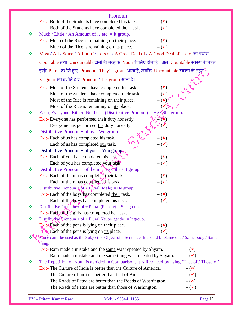|   | Pronoun                                                                                                                                                            |                                 |
|---|--------------------------------------------------------------------------------------------------------------------------------------------------------------------|---------------------------------|
|   | Ex.:- Both of the Students have completed his task.                                                                                                                | $-({\bf x})$                    |
|   | Both of the Students have completed their task.                                                                                                                    | $-(\checkmark)$                 |
| ❖ | Much / Little / An Amount of etc. = It group.                                                                                                                      |                                 |
|   | Ex.:- Much of the Rice is remaining on their place.                                                                                                                | $-({\bf x})$                    |
|   | Much of the Rice is remaining on its place.                                                                                                                        | $-(\checkmark)$                 |
| ❖ | Most / All / Some / A Lot of / Lots of / A Great Deal of / A Good Deal of etc. का प्रयोग                                                                           |                                 |
|   | Countable तथा Uncountable दोनों ही तरह के Noun के लिए होता हैं। अतः Countable स्वरूप के तहत                                                                        |                                 |
|   | इन्हे Plural दर्शाते हुए Pronoun 'They' - group आता है, जबकि Uncountable स्वरूप के तहत्                                                                            |                                 |
|   | Singular रूप दर्शाते हुए Pronoun 'It' - group आता हैं।                                                                                                             |                                 |
|   | Ex.:- Most of the Students have completed his task.                                                                                                                | $-({\bf x})$                    |
|   | Most of the Students have completed their task.                                                                                                                    | $-(\checkmark)$                 |
|   | Most of the Rice is remaining on their place.                                                                                                                      | $ (\star)$                      |
|   | Most of the Rice is remaining on its place.                                                                                                                        | $-$ ( $\checkmark$              |
| ❖ | Each, Everyone, Either, Neither – (Distributive Pronoun) = He / She group.                                                                                         |                                 |
|   | Ex.:- Everyone has performed their duty honestly.                                                                                                                  | $-({\bf x})$                    |
|   | Everyone has performed his duty honestly.                                                                                                                          |                                 |
| ❖ | Distributive Pronoun + of $us = We group$ .                                                                                                                        |                                 |
|   | Ex.:- Each of us has completed his task.                                                                                                                           | $-({\bf x})$                    |
|   | Each of us has completed our task.                                                                                                                                 | $-(\checkmark)$                 |
| ❖ | Distributive Pronoun + of you = You group.                                                                                                                         |                                 |
|   | Ex.:- Each of you has completed his task.                                                                                                                          | $-({\bf x})$                    |
| ❖ | Each of you has completed your task.<br>Distributive Pronoun + of them = $He / She / It group$ .                                                                   | $-(\checkmark)$                 |
|   | Ex.:- Each of them has completed their task.                                                                                                                       | $-({\bf x})$                    |
|   | Each of them has completed his task.                                                                                                                               | $-(\checkmark)$                 |
| ❖ | Distributive Pronoun $+$ of $+$ Plural (Male) = He group                                                                                                           |                                 |
|   | Ex.:- Each of the boys has completed their task.                                                                                                                   | $-({\bf x})$                    |
|   | Each of the boys has completed his task.                                                                                                                           | $ (\checkmark)$                 |
| ❖ | Distributive Pronoun <sup><math>+</math></sup> of + Plural (Female) = She group.                                                                                   |                                 |
|   | Ex.:- Each of the girls has completed her task.                                                                                                                    |                                 |
| ❖ | Distributive Pronoun + of + Plural Neuter gender = It group.                                                                                                       |                                 |
|   | $Ex$ .: Each of the pens is lying on their place.                                                                                                                  | $-({\bf x})$                    |
|   | Each of the pens is lying on its place.                                                                                                                            | $ (\checkmark)$                 |
|   | Same can't be used as the Subject or Object of a Sentence, It should be Same one / Same body / Same                                                                |                                 |
|   | thing.                                                                                                                                                             |                                 |
|   | Ex.:- Ram made a mistake and the same was repeated by Shyam.                                                                                                       | $-({\bf x})$                    |
|   | Ram made a mistake and the same thing was repeated by Shyam.                                                                                                       | $-(\checkmark)$                 |
| ❖ | The Repetition of Noun is avoided in Comparison, It is Replaced by using 'That of / Those of'<br>Ex.:- The Culture of India is better than the Culture of America. |                                 |
|   |                                                                                                                                                                    | $-({\bf x})$                    |
|   | The Culture of India is better than that of America.<br>The Roads of Patna are better than the Roads of Washington.                                                | $-(\checkmark)$<br>$-({\bf x})$ |
|   | The Roads of Patna are better than those of Washington.                                                                                                            | $-(\checkmark)$                 |
|   |                                                                                                                                                                    |                                 |